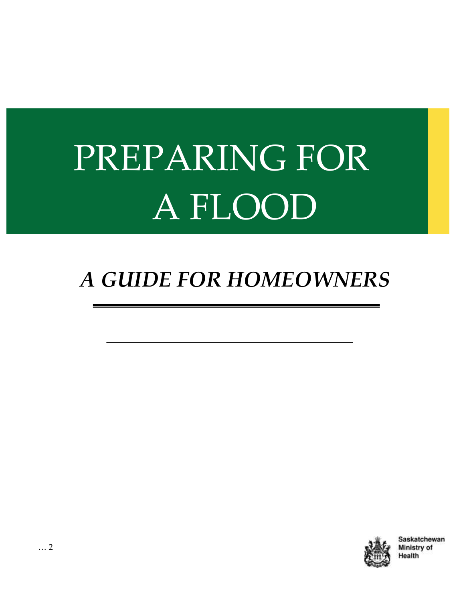# PREPARING FOR A FLOOD

## *A GUIDE FOR HOMEOWNERS*



Saskatchewan Ministry of Health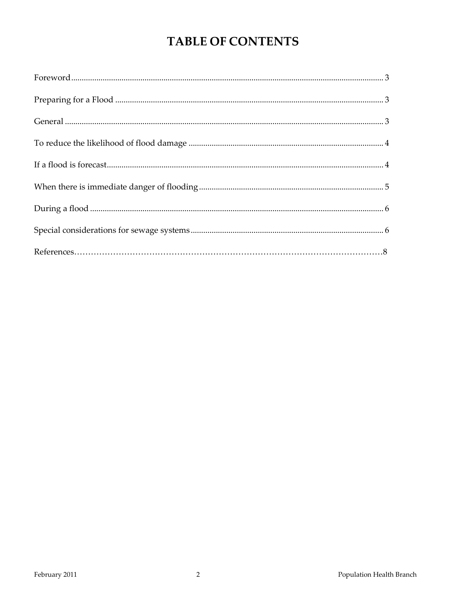### **TABLE OF CONTENTS**

| Foreword. 3 |  |
|-------------|--|
|             |  |
|             |  |
|             |  |
|             |  |
|             |  |
|             |  |
|             |  |
|             |  |
|             |  |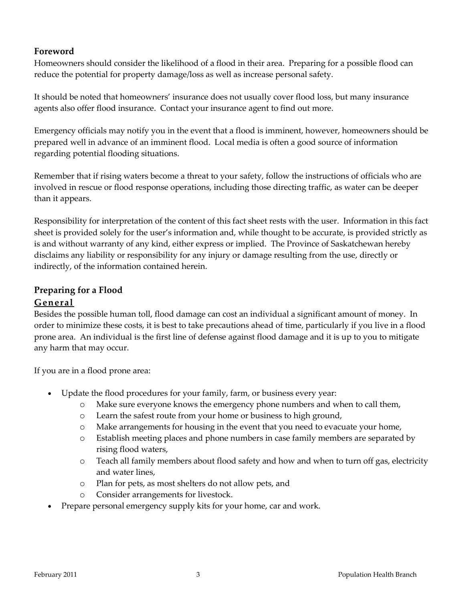#### <span id="page-2-0"></span>**Foreword**

Homeowners should consider the likelihood of a flood in their area. Preparing for a possible flood can reduce the potential for property damage/loss as well as increase personal safety.

It should be noted that homeowners' insurance does not usually cover flood loss, but many insurance agents also offer flood insurance. Contact your insurance agent to find out more.

Emergency officials may notify you in the event that a flood is imminent, however, homeowners should be prepared well in advance of an imminent flood. Local media is often a good source of information regarding potential flooding situations.

Remember that if rising waters become a threat to your safety, follow the instructions of officials who are involved in rescue or flood response operations, including those directing traffic, as water can be deeper than it appears.

Responsibility for interpretation of the content of this fact sheet rests with the user. Information in this fact sheet is provided solely for the user's information and, while thought to be accurate, is provided strictly as is and without warranty of any kind, either express or implied. The Province of Saskatchewan hereby disclaims any liability or responsibility for any injury or damage resulting from the use, directly or indirectly, of the information contained herein.

#### <span id="page-2-1"></span>**Preparing for a Flood**

#### <span id="page-2-2"></span>**General**

Besides the possible human toll, flood damage can cost an individual a significant amount of money. In order to minimize these costs, it is best to take precautions ahead of time, particularly if you live in a flood prone area. An individual is the first line of defense against flood damage and it is up to you to mitigate any harm that may occur.

If you are in a flood prone area:

- Update the flood procedures for your family, farm, or business every year:
	- o Make sure everyone knows the emergency phone numbers and when to call them,
	- o Learn the safest route from your home or business to high ground,
	- o Make arrangements for housing in the event that you need to evacuate your home,
	- o Establish meeting places and phone numbers in case family members are separated by rising flood waters,
	- o Teach all family members about flood safety and how and when to turn off gas, electricity and water lines,
	- o Plan for pets, as most shelters do not allow pets, and
	- o Consider arrangements for livestock.
- Prepare personal emergency supply kits for your home, car and work.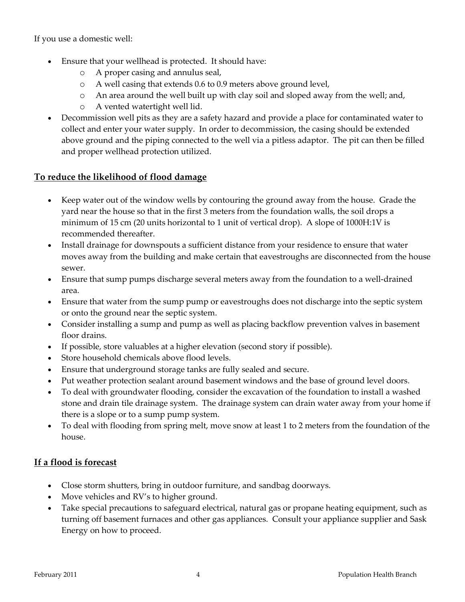If you use a domestic well:

- Ensure that your wellhead is protected. It should have:
	- o A proper casing and annulus seal,
	- o A well casing that extends 0.6 to 0.9 meters above ground level,
	- o An area around the well built up with clay soil and sloped away from the well; and,
	- o A vented watertight well lid.
- Decommission well pits as they are a safety hazard and provide a place for contaminated water to collect and enter your water supply. In order to decommission, the casing should be extended above ground and the piping connected to the well via a pitless adaptor. The pit can then be filled and proper wellhead protection utilized.

#### <span id="page-3-0"></span>**To reduce the likelihood of flood damage**

- Keep water out of the window wells by contouring the ground away from the house. Grade the yard near the house so that in the first 3 meters from the foundation walls, the soil drops a minimum of 15 cm (20 units horizontal to 1 unit of vertical drop). A slope of 1000H:1V is recommended thereafter.
- Install drainage for downspouts a sufficient distance from your residence to ensure that water moves away from the building and make certain that eavestroughs are disconnected from the house sewer.
- Ensure that sump pumps discharge several meters away from the foundation to a well-drained area.
- Ensure that water from the sump pump or eavestroughs does not discharge into the septic system or onto the ground near the septic system.
- Consider installing a sump and pump as well as placing backflow prevention valves in basement floor drains.
- If possible, store valuables at a higher elevation (second story if possible).
- Store household chemicals above flood levels.
- Ensure that underground storage tanks are fully sealed and secure.
- Put weather protection sealant around basement windows and the base of ground level doors.
- To deal with groundwater flooding, consider the excavation of the foundation to install a washed stone and drain tile drainage system. The drainage system can drain water away from your home if there is a slope or to a sump pump system.
- To deal with flooding from spring melt, move snow at least 1 to 2 meters from the foundation of the house.

#### <span id="page-3-1"></span>**If a flood is forecast**

- Close storm shutters, bring in outdoor furniture, and sandbag doorways.
- Move vehicles and RV's to higher ground.
- Take special precautions to safeguard electrical, natural gas or propane heating equipment, such as turning off basement furnaces and other gas appliances. Consult your appliance supplier and Sask Energy on how to proceed.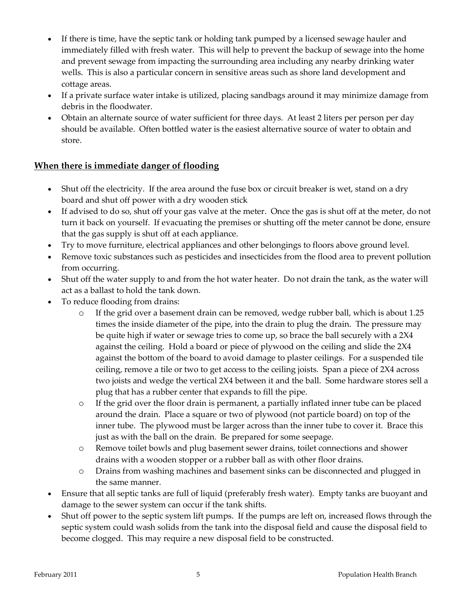- If there is time, have the septic tank or holding tank pumped by a licensed sewage hauler and immediately filled with fresh water. This will help to prevent the backup of sewage into the home and prevent sewage from impacting the surrounding area including any nearby drinking water wells. This is also a particular concern in sensitive areas such as shore land development and cottage areas.
- If a private surface water intake is utilized, placing sandbags around it may minimize damage from debris in the floodwater.
- Obtain an alternate source of water sufficient for three days. At least 2 liters per person per day should be available. Often bottled water is the easiest alternative source of water to obtain and store.

#### <span id="page-4-0"></span>**When there is immediate danger of flooding**

- Shut off the electricity. If the area around the fuse box or circuit breaker is wet, stand on a dry board and shut off power with a dry wooden stick
- If advised to do so, shut off your gas valve at the meter. Once the gas is shut off at the meter, do not turn it back on yourself. If evacuating the premises or shutting off the meter cannot be done, ensure that the gas supply is shut off at each appliance.
- Try to move furniture, electrical appliances and other belongings to floors above ground level.
- Remove toxic substances such as pesticides and insecticides from the flood area to prevent pollution from occurring.
- Shut off the water supply to and from the hot water heater. Do not drain the tank, as the water will act as a ballast to hold the tank down.
- To reduce flooding from drains:
	- o If the grid over a basement drain can be removed, wedge rubber ball, which is about 1.25 times the inside diameter of the pipe, into the drain to plug the drain. The pressure may be quite high if water or sewage tries to come up, so brace the ball securely with a 2X4 against the ceiling. Hold a board or piece of plywood on the ceiling and slide the 2X4 against the bottom of the board to avoid damage to plaster ceilings. For a suspended tile ceiling, remove a tile or two to get access to the ceiling joists. Span a piece of 2X4 across two joists and wedge the vertical 2X4 between it and the ball. Some hardware stores sell a plug that has a rubber center that expands to fill the pipe.
	- o If the grid over the floor drain is permanent, a partially inflated inner tube can be placed around the drain. Place a square or two of plywood (not particle board) on top of the inner tube. The plywood must be larger across than the inner tube to cover it. Brace this just as with the ball on the drain. Be prepared for some seepage.
	- o Remove toilet bowls and plug basement sewer drains, toilet connections and shower drains with a wooden stopper or a rubber ball as with other floor drains.
	- o Drains from washing machines and basement sinks can be disconnected and plugged in the same manner.
- Ensure that all septic tanks are full of liquid (preferably fresh water). Empty tanks are buoyant and damage to the sewer system can occur if the tank shifts.
- Shut off power to the septic system lift pumps. If the pumps are left on, increased flows through the septic system could wash solids from the tank into the disposal field and cause the disposal field to become clogged. This may require a new disposal field to be constructed.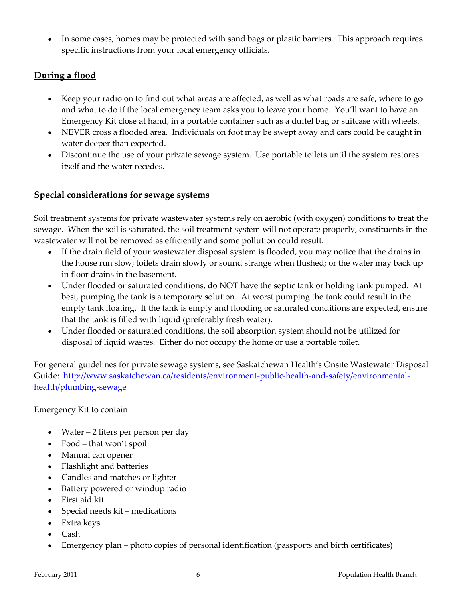In some cases, homes may be protected with sand bags or plastic barriers. This approach requires specific instructions from your local emergency officials.

#### <span id="page-5-0"></span>**During a flood**

- Keep your radio on to find out what areas are affected, as well as what roads are safe, where to go and what to do if the local emergency team asks you to leave your home. You'll want to have an Emergency Kit close at hand, in a portable container such as a duffel bag or suitcase with wheels.
- NEVER cross a flooded area. Individuals on foot may be swept away and cars could be caught in water deeper than expected.
- Discontinue the use of your private sewage system. Use portable toilets until the system restores itself and the water recedes.

#### <span id="page-5-1"></span>**Special considerations for sewage systems**

Soil treatment systems for private wastewater systems rely on aerobic (with oxygen) conditions to treat the sewage. When the soil is saturated, the soil treatment system will not operate properly, constituents in the wastewater will not be removed as efficiently and some pollution could result.

- If the drain field of your wastewater disposal system is flooded, you may notice that the drains in the house run slow; toilets drain slowly or sound strange when flushed; or the water may back up in floor drains in the basement.
- Under flooded or saturated conditions, do NOT have the septic tank or holding tank pumped. At best, pumping the tank is a temporary solution. At worst pumping the tank could result in the empty tank floating. If the tank is empty and flooding or saturated conditions are expected, ensure that the tank is filled with liquid (preferably fresh water).
- Under flooded or saturated conditions, the soil absorption system should not be utilized for disposal of liquid wastes. Either do not occupy the home or use a portable toilet.

For general guidelines for private sewage systems, see Saskatchewan Health's Onsite Wastewater Disposal Guide: [http://www.saskatchewan.ca/residents/environment-public-health-and-safety/environmental](http://www.saskatchewan.ca/residents/environment-public-health-and-safety/environmental-health/plumbing-sewage)[health/plumbing-sewage](http://www.saskatchewan.ca/residents/environment-public-health-and-safety/environmental-health/plumbing-sewage)

Emergency Kit to contain

- Water 2 liters per person per day
- Food that won't spoil
- Manual can opener
- Flashlight and batteries
- Candles and matches or lighter
- Battery powered or windup radio
- First aid kit
- Special needs kit medications
- Extra keys
- Cash
- Emergency plan photo copies of personal identification (passports and birth certificates)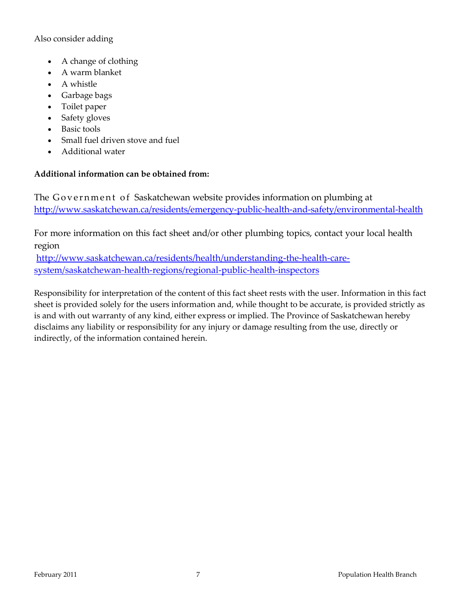#### Also consider adding

- A change of clothing
- A warm blanket
- A whistle
- Garbage bags
- Toilet paper
- Safety gloves
- Basic tools
- Small fuel driven stove and fuel
- Additional water

#### **Additional information can be obtained from:**

The Government of Saskatchewan website provides information on plumbing at <http://www.saskatchewan.ca/residents/emergency-public-health-and-safety/environmental-health>

For more information on this fact sheet and/or other plumbing topics, contact your local health region

[http://www.saskatchewan.ca/residents/health/understanding-the-health-care](http://www.saskatchewan.ca/residents/health/understanding-the-health-care-system/saskatchewan-health-regions/regional-public-health-inspectors)[system/saskatchewan-health-regions/regional-public-health-inspectors](http://www.saskatchewan.ca/residents/health/understanding-the-health-care-system/saskatchewan-health-regions/regional-public-health-inspectors)

Responsibility for interpretation of the content of this fact sheet rests with the user. Information in this fact sheet is provided solely for the users information and, while thought to be accurate, is provided strictly as is and with out warranty of any kind, either express or implied. The Province of Saskatchewan hereby disclaims any liability or responsibility for any injury or damage resulting from the use, directly or indirectly, of the information contained herein.